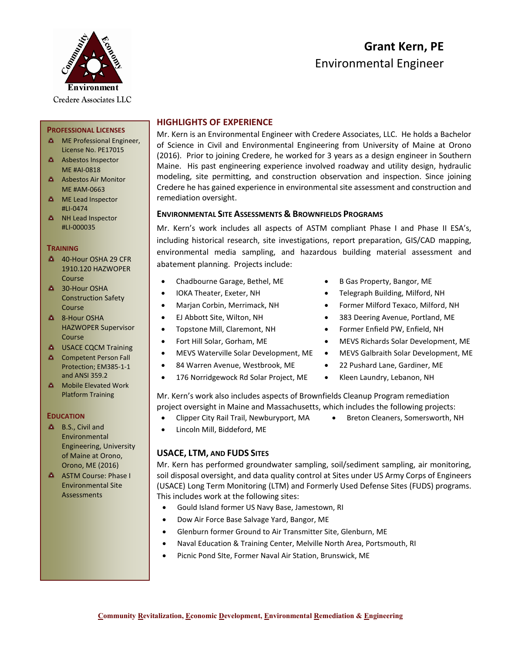# **Grant Kern, PE** Environmental Engineer



**PROFESSIONAL LICENSES A** ME Professional Engineer, License No. PE17015 A Asbestos Inspector ME #AI-0818 A Asbestos Air Monitor ME #AM-0663 A ME Lead Inspector #LI-0474 A NH Lead Inspector #LI-000035

# **HIGHLIGHTS OF EXPERIENCE**

Mr. Kern is an Environmental Engineer with Credere Associates, LLC. He holds a Bachelor of Science in Civil and Environmental Engineering from University of Maine at Orono (2016). Prior to joining Credere, he worked for 3 years as a design engineer in Southern Maine. His past engineering experience involved roadway and utility design, hydraulic modeling, site permitting, and construction observation and inspection. Since joining Credere he has gained experience in environmental site assessment and construction and remediation oversight.

### **ENVIRONMENTAL SITE ASSESSMENTS & BROWNFIELDS PROGRAMS**

Mr. Kern's work includes all aspects of ASTM compliant Phase I and Phase II ESA's, including historical research, site investigations, report preparation, GIS/CAD mapping, environmental media sampling, and hazardous building material assessment and abatement planning. Projects include:

- Chadbourne Garage, Bethel, ME B Gas Property, Bangor, ME
- 
- 
- 
- 
- 
- MEVS Waterville Solar Development, ME MEVS Galbraith Solar Development, ME
- 84 Warren Avenue, Westbrook, ME 22 Pushard Lane, Gardiner, ME
- 176 Norridgewock Rd Solar Project, ME Kleen Laundry, Lebanon, NH
- 
- 
- IOKA Theater, Exeter, NH Telegraph Building, Milford, NH
- Marjan Corbin, Merrimack, NH Former Milford Texaco, Milford, NH
	- EJ Abbott Site, Wilton, NH 383 Deering Avenue, Portland, ME
- Topstone Mill, Claremont, NH Former Enfield PW, Enfield, NH
	-
	-
	-
	-

Mr. Kern's work also includes aspects of Brownfields Cleanup Program remediation project oversight in Maine and Massachusetts, which includes the following projects:

- Clipper City Rail Trail, Newburyport, MA Breton Cleaners, Somersworth, NH
- Lincoln Mill, Biddeford, ME

## **USACE, LTM, AND FUDS SITES**

Mr. Kern has performed groundwater sampling, soil/sediment sampling, air monitoring, soil disposal oversight, and data quality control at Sites under US Army Corps of Engineers (USACE) Long Term Monitoring (LTM) and Formerly Used Defense Sites (FUDS) programs. This includes work at the following sites:

- Gould Island former US Navy Base, Jamestown, RI
- Dow Air Force Base Salvage Yard, Bangor, ME
- Glenburn former Ground to Air Transmitter Site, Glenburn, ME
- Naval Education & Training Center, Melville North Area, Portsmouth, RI
- Picnic Pond SIte, Former Naval Air Station, Brunswick, ME

**EDUCATION**

**TRAINING**

Course **4** 30-Hour OSHA

Course **4** 8-Hour OSHA

Course

40-Hour OSHA 29 CFR 1910.120 HAZWOPER

Construction Safety

HAZWOPER Supervisor

**A** USACE CQCM Training **4** Competent Person Fall Protection; EM385-1-1 and ANSI 359.2  $\triangle$  Mobile Elevated Work Platform Training

- **A** B.S., Civil and Environmental Engineering, University of Maine at Orono, Orono, ME (2016)
- A ASTM Course: Phase I Environmental Site **Assessments**
- -
	-

# • Fort Hill Solar, Gorham, ME • MEVS Richards Solar Development, ME

- 
- 
-